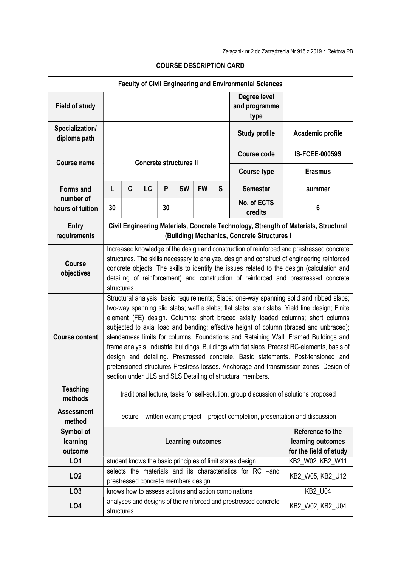| <b>Faculty of Civil Engineering and Environmental Sciences</b> |                                                                                                                                                                                                                                                                                                                                                                                                                                                                                                                                                                                                                                                                                                                                                                                                              |   |    |    |                                     |           |                                                                 |                                                                 |                       |
|----------------------------------------------------------------|--------------------------------------------------------------------------------------------------------------------------------------------------------------------------------------------------------------------------------------------------------------------------------------------------------------------------------------------------------------------------------------------------------------------------------------------------------------------------------------------------------------------------------------------------------------------------------------------------------------------------------------------------------------------------------------------------------------------------------------------------------------------------------------------------------------|---|----|----|-------------------------------------|-----------|-----------------------------------------------------------------|-----------------------------------------------------------------|-----------------------|
| <b>Field of study</b>                                          |                                                                                                                                                                                                                                                                                                                                                                                                                                                                                                                                                                                                                                                                                                                                                                                                              |   |    |    |                                     |           | Degree level<br>and programme<br>type                           |                                                                 |                       |
| Specialization/<br>diploma path                                |                                                                                                                                                                                                                                                                                                                                                                                                                                                                                                                                                                                                                                                                                                                                                                                                              |   |    |    |                                     |           |                                                                 | <b>Study profile</b>                                            | Academic profile      |
| <b>Course name</b>                                             | <b>Concrete structures II</b>                                                                                                                                                                                                                                                                                                                                                                                                                                                                                                                                                                                                                                                                                                                                                                                |   |    |    |                                     |           |                                                                 | <b>Course code</b>                                              | <b>IS-FCEE-00059S</b> |
|                                                                |                                                                                                                                                                                                                                                                                                                                                                                                                                                                                                                                                                                                                                                                                                                                                                                                              |   |    |    |                                     |           |                                                                 | <b>Course type</b>                                              | <b>Erasmus</b>        |
| <b>Forms and</b>                                               | L                                                                                                                                                                                                                                                                                                                                                                                                                                                                                                                                                                                                                                                                                                                                                                                                            | C | LC | P  | <b>SW</b>                           | <b>FW</b> | S                                                               | <b>Semester</b>                                                 | summer                |
| number of<br>hours of tuition                                  | 30                                                                                                                                                                                                                                                                                                                                                                                                                                                                                                                                                                                                                                                                                                                                                                                                           |   |    | 30 |                                     |           |                                                                 | No. of ECTS<br>credits                                          | 6                     |
| <b>Entry</b><br>requirements                                   | Civil Engineering Materials, Concrete Technology, Strength of Materials, Structural<br>(Building) Mechanics, Concrete Structures I                                                                                                                                                                                                                                                                                                                                                                                                                                                                                                                                                                                                                                                                           |   |    |    |                                     |           |                                                                 |                                                                 |                       |
| <b>Course</b><br>objectives                                    | Increased knowledge of the design and construction of reinforced and prestressed concrete<br>structures. The skills necessary to analyze, design and construct of engineering reinforced<br>concrete objects. The skills to identify the issues related to the design (calculation and<br>detailing of reinforcement) and construction of reinforced and prestressed concrete<br>structures.                                                                                                                                                                                                                                                                                                                                                                                                                 |   |    |    |                                     |           |                                                                 |                                                                 |                       |
| <b>Course content</b>                                          | Structural analysis, basic requirements; Slabs: one-way spanning solid and ribbed slabs;<br>two-way spanning slid slabs; waffle slabs; flat slabs; stair slabs. Yield line design; Finite<br>element (FE) design. Columns: short braced axially loaded columns; short columns<br>subjected to axial load and bending; effective height of column (braced and unbraced);<br>slenderness limits for columns. Foundations and Retaining Wall. Framed Buildings and<br>frame analysis. Industrial buildings. Buildings with flat slabs. Precast RC-elements, basis of<br>design and detailing. Prestressed concrete. Basic statements. Post-tensioned and<br>pretensioned structures Prestress losses. Anchorage and transmission zones. Design of<br>section under ULS and SLS Detailing of structural members. |   |    |    |                                     |           |                                                                 |                                                                 |                       |
| <b>Teaching</b><br>methods                                     | traditional lecture, tasks for self-solution, group discussion of solutions proposed                                                                                                                                                                                                                                                                                                                                                                                                                                                                                                                                                                                                                                                                                                                         |   |    |    |                                     |           |                                                                 |                                                                 |                       |
| <b>Assessment</b><br>method                                    | lecture – written exam; project – project completion, presentation and discussion                                                                                                                                                                                                                                                                                                                                                                                                                                                                                                                                                                                                                                                                                                                            |   |    |    |                                     |           |                                                                 |                                                                 |                       |
| Symbol of<br>learning<br>outcome                               | <b>Learning outcomes</b>                                                                                                                                                                                                                                                                                                                                                                                                                                                                                                                                                                                                                                                                                                                                                                                     |   |    |    |                                     |           | Reference to the<br>learning outcomes<br>for the field of study |                                                                 |                       |
| LO1                                                            |                                                                                                                                                                                                                                                                                                                                                                                                                                                                                                                                                                                                                                                                                                                                                                                                              |   |    |    |                                     |           |                                                                 | student knows the basic principles of limit states design       | KB2_W02, KB2_W11      |
| LO <sub>2</sub>                                                |                                                                                                                                                                                                                                                                                                                                                                                                                                                                                                                                                                                                                                                                                                                                                                                                              |   |    |    | prestressed concrete members design |           |                                                                 | selects the materials and its characteristics for RC -and       | KB2_W05, KB2_U12      |
| LO <sub>3</sub>                                                |                                                                                                                                                                                                                                                                                                                                                                                                                                                                                                                                                                                                                                                                                                                                                                                                              |   |    |    |                                     |           |                                                                 | knows how to assess actions and action combinations             | <b>KB2_U04</b>        |
| LO4                                                            | structures                                                                                                                                                                                                                                                                                                                                                                                                                                                                                                                                                                                                                                                                                                                                                                                                   |   |    |    |                                     |           |                                                                 | analyses and designs of the reinforced and prestressed concrete | KB2_W02, KB2_U04      |

## COURSE DESCRIPTION CARD